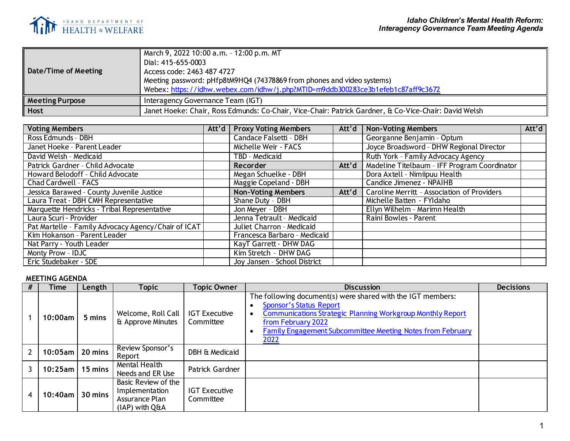

| Date/Time of Meeting   | March 9, 2022 10:00 a.m. - 12:00 p.m. MT<br>Dial: 415-655-0003<br>Access code: 2463 487 4727<br>Meeting password: pHfp8tM9HQ4 (74378869 from phones and video systems)<br>Webex: https://idhw.webex.com/idhw/j.php?MTID=m9ddb300283ce3b1efeb1c87aff9c3672 |
|------------------------|-----------------------------------------------------------------------------------------------------------------------------------------------------------------------------------------------------------------------------------------------------------|
| <b>Meeting Purpose</b> | Interagency Governance Team (IGT)                                                                                                                                                                                                                         |
| Host                   | Janet Hoeke: Chair, Ross Edmunds: Co-Chair, Vice-Chair: Patrick Gardner, & Co-Vice-Chair: David Welsh                                                                                                                                                     |

| <b>Voting Members</b>                               |  | Att'd   Proxy Voting Members | Att'd | <b>Non-Voting Members</b>                    | Att'd |
|-----------------------------------------------------|--|------------------------------|-------|----------------------------------------------|-------|
| Ross Edmunds - DBH                                  |  | Candace Falsetti - DBH       |       | Georganne Benjamin - Optum                   |       |
| Janet Hoeke - Parent Leader                         |  | Michelle Weir - FACS         |       | Joyce Broadsword - DHW Regional Director     |       |
| David Welsh - Medicaid                              |  | TBD - Medicaid               |       | Ruth York - Family Advocacy Agency           |       |
| Patrick Gardner - Child Advocate                    |  | <b>Recorder</b>              | Att'd | Madeline Titelbaum - IFF Program Coordinator |       |
| Howard Belodoff - Child Advocate                    |  | Megan Schuelke - DBH         |       | Dora Axtell - Nimiipuu Health                |       |
| Chad Cardwell - FACS                                |  | Maggie Copeland - DBH        |       | Candice Jimenez - NPAIHB                     |       |
| Jessica Barawed - County Juvenile Justice           |  | <b>Non-Voting Members</b>    | Att'd | Caroline Merritt - Association of Providers  |       |
| Laura Treat - DBH CMH Representative                |  | Shane Duty - DBH             |       | Michelle Batten - FYI daho                   |       |
| Marquette Hendricks - Tribal Representative         |  | Jon Meyer - DBH              |       | Ellyn Wilhelm - Marimn Health                |       |
| Laura Scuri - Provider                              |  | Jenna Tetrault - Medicaid    |       | Raini Bowles - Parent                        |       |
| Pat Martelle - Family Advocacy Agency/Chair of ICAT |  | Juliet Charron - Medicaid    |       |                                              |       |
| Kim Hokanson - Parent Leader                        |  | Francesca Barbaro - Medicaid |       |                                              |       |
| Nat Parry - Youth Leader                            |  | KayT Garrett - DHW DAG       |       |                                              |       |
| Monty Prow - IDJC                                   |  | Kim Stretch - DHW DAG        |       |                                              |       |
| Eric Studebaker - SDE                               |  | Joy Jansen - School District |       |                                              |       |

## **MEETING AGENDA**

|   | Time       | Length  | Topic                                                                     | Topic Owner                       | <b>Discussion</b>                                                                                                                                                                                                                                              | <b>Decisions</b> |
|---|------------|---------|---------------------------------------------------------------------------|-----------------------------------|----------------------------------------------------------------------------------------------------------------------------------------------------------------------------------------------------------------------------------------------------------------|------------------|
|   | 10:00am    | 5 mins  | Welcome, Roll Call<br>& Approve Minutes                                   | <b>IGT Executive</b><br>Committee | The following document(s) were shared with the IGT members:<br><b>Sponsor's Status Report</b><br>Communications Strategic Planning Workgroup Monthly Report<br>from February 2022<br><b>Family Engagement Subcommittee Meeting Notes from February</b><br>2022 |                  |
|   | $10:05$ am | 20 mins | Review Sponsor's<br>Report                                                | DBH & Medicaid                    |                                                                                                                                                                                                                                                                |                  |
|   | $10:25$ am | 15 mins | Mental Health<br>Needs and ER Use                                         | Patrick Gardner                   |                                                                                                                                                                                                                                                                |                  |
| 4 | 10:40am    | 30 mins | Basic Review of the<br>Implementation<br>Assurance Plan<br>(IAP) with Q&A | <b>IGT Executive</b><br>Committee |                                                                                                                                                                                                                                                                |                  |